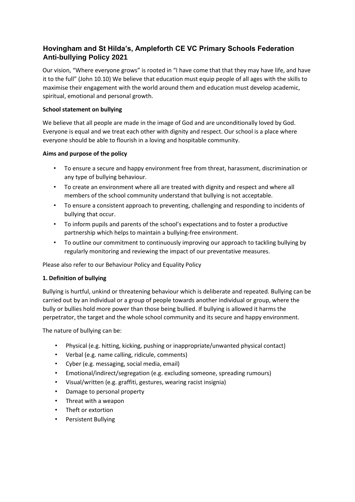# **Hovingham and St Hilda's, Ampleforth CE VC Primary Schools Federation Anti-bullying Policy 2021**

Our vision, "Where everyone grows" is rooted in "I have come that that they may have life, and have it to the full" (John 10.10) We believe that education must equip people of all ages with the skills to maximise their engagement with the world around them and education must develop academic, spiritual, emotional and personal growth.

# **School statement on bullying**

We believe that all people are made in the image of God and are unconditionally loved by God. Everyone is equal and we treat each other with dignity and respect. Our school is a place where everyone should be able to flourish in a loving and hospitable community.

# **Aims and purpose of the policy**

- To ensure a secure and happy environment free from threat, harassment, discrimination or any type of bullying behaviour.
- To create an environment where all are treated with dignity and respect and where all members of the school community understand that bullying is not acceptable.
- To ensure a consistent approach to preventing, challenging and responding to incidents of bullying that occur.
- To inform pupils and parents of the school's expectations and to foster a productive partnership which helps to maintain a bullying-free environment.
- To outline our commitment to continuously improving our approach to tackling bullying by regularly monitoring and reviewing the impact of our preventative measures.

Please also refer to our Behaviour Policy and Equality Policy

## **1. Definition of bullying**

Bullying is hurtful, unkind or threatening behaviour which is deliberate and repeated. Bullying can be carried out by an individual or a group of people towards another individual or group, where the bully or bullies hold more power than those being bullied. If bullying is allowed it harms the perpetrator, the target and the whole school community and its secure and happy environment.

The nature of bullying can be:

- Physical (e.g. hitting, kicking, pushing or inappropriate/unwanted physical contact)
- Verbal (e.g. name calling, ridicule, comments)
- Cyber (e.g. messaging, social media, email)
- Emotional/indirect/segregation (e.g. excluding someone, spreading rumours)
- Visual/written (e.g. graffiti, gestures, wearing racist insignia)
- Damage to personal property
- Threat with a weapon
- Theft or extortion
- Persistent Bullying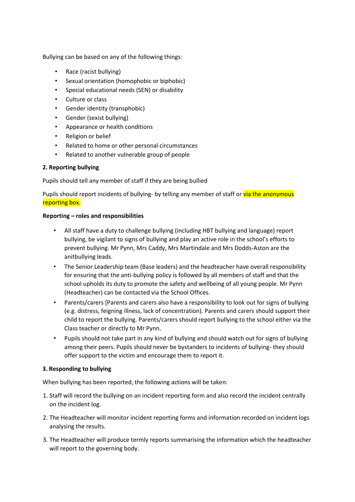Bullying can be based on any of the following things:

- Race (racist bullying)
- Sexual orientation (homophobic or biphobic)
- Special educational needs (SEN) or disability
- Culture or class
- Gender identity (transphobic)
- Gender (sexist bullying)
- Appearance or health conditions
- Religion or belief
- Related to home or other personal circumstances
- Related to another vulnerable group of people

## **2. Reporting bullying**

Pupils should tell any member of staff if they are being bullied

Pupils should report incidents of bullying- by telling any member of staff or via the anonymous reporting box.

#### **Reporting – roles and responsibilities**

- All staff have a duty to challenge bullying (including HBT bullying and language) report bullying, be vigilant to signs of bullying and play an active role in the school's efforts to prevent bullying. Mr Pynn, Mrs Caddy, Mrs Martindale and Mrs Dodds-Aston are the anitbullying leads.
- The Senior Leadership team (Base leaders) and the headteacher have overall responsibility for ensuring that the anti-bullying policy is followed by all members of staff and that the school upholds its duty to promote the safety and wellbeing of all young people. Mr Pynn (Headteacher) can be contacted via the School Offices.
- Parents/carers [Parents and carers also have a responsibility to look out for signs of bullying (e.g. distress, feigning illness, lack of concentration). Parents and carers should support their child to report the bullying. Parents/carers should report bullying to the school either via the Class teacher or directly to Mr Pynn.
- Pupils should not take part in any kind of bullying and should watch out for signs of bullying among their peers. Pupils should never be bystanders to incidents of bullying- they should offer support to the victim and encourage them to report it.

## **3. Responding to bullying**

When bullying has been reported, the following actions will be taken:

- 1. Staff will record the bullying on an incident reporting form and also record the incident centrally on the incident log.
- 2. The Headteacher will monitor incident reporting forms and information recorded on incident logs analysing the results.
- 3. The Headteacher will produce termly reports summarising the information which the headteacher will report to the governing body.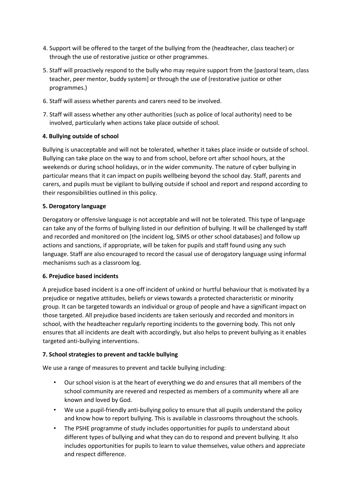- 4. Support will be offered to the target of the bullying from the (headteacher, class teacher) or through the use of restorative justice or other programmes.
- 5. Staff will proactively respond to the bully who may require support from the [pastoral team, class teacher, peer mentor, buddy system] or through the use of (restorative justice or other programmes.)
- 6. Staff will assess whether parents and carers need to be involved.
- 7. Staff will assess whether any other authorities (such as police of local authority) need to be involved, particularly when actions take place outside of school.

## **4. Bullying outside of school**

Bullying is unacceptable and will not be tolerated, whether it takes place inside or outside of school. Bullying can take place on the way to and from school, before ort after school hours, at the weekends or during school holidays, or in the wider community. The nature of cyber bullying in particular means that it can impact on pupils wellbeing beyond the school day. Staff, parents and carers, and pupils must be vigilant to bullying outside if school and report and respond according to their responsibilities outlined in this policy.

#### **5. Derogatory language**

Derogatory or offensive language is not acceptable and will not be tolerated. This type of language can take any of the forms of bullying listed in our definition of bullying. It will be challenged by staff and recorded and monitored on [the incident log, SIMS or other school databases] and follow up actions and sanctions, if appropriate, will be taken for pupils and staff found using any such language. Staff are also encouraged to record the casual use of derogatory language using informal mechanisms such as a classroom log.

#### **6. Prejudice based incidents**

A prejudice based incident is a one-off incident of unkind or hurtful behaviour that is motivated by a prejudice or negative attitudes, beliefs or views towards a protected characteristic or minority group. It can be targeted towards an individual or group of people and have a significant impact on those targeted. All prejudice based incidents are taken seriously and recorded and monitors in school, with the headteacher regularly reporting incidents to the governing body. This not only ensures that all incidents are dealt with accordingly, but also helps to prevent bullying as it enables targeted anti-bullying interventions.

## **7. School strategies to prevent and tackle bullying**

We use a range of measures to prevent and tackle bullying including:

- Our school vision is at the heart of everything we do and ensures that all members of the school community are revered and respected as members of a community where all are known and loved by God.
- We use a pupil-friendly anti-bullying policy to ensure that all pupils understand the policy and know how to report bullying. This is available in classrooms throughout the schools.
- The PSHE programme of study includes opportunities for pupils to understand about different types of bullying and what they can do to respond and prevent bullying. It also includes opportunities for pupils to learn to value themselves, value others and appreciate and respect difference.